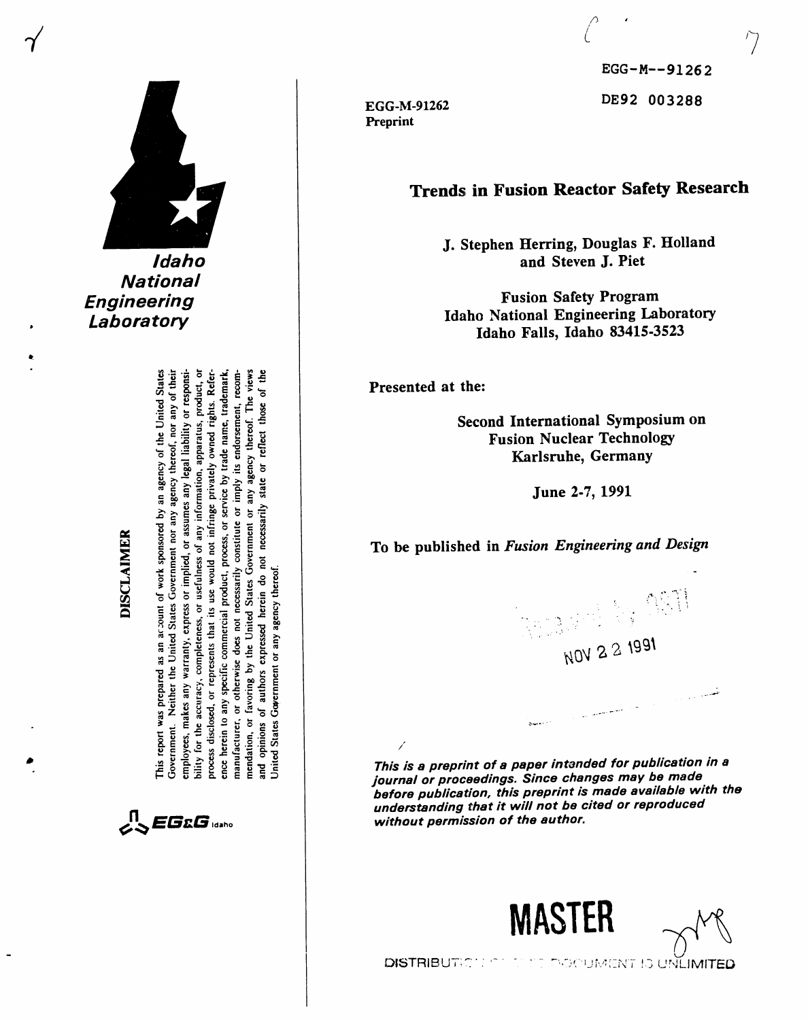

**National Engineering** Laboratory

**DISCLAIMER** 

bility for the accuracy, completeness, or usefulness of any information, apparatus, product, or process disclosed, or represents that its use would not infringe privately owned rights. Reference herein to any specific commercial product, process, or service by trade name, trademark, recom-This report was prepared as an account of work sponsored by an agency of the United States Neither the United States Government nor any agency thereof, nor any of their employees, makes any warranty, express or implied, or assumes any legal liability or responsimendation, or favoring by the United States Government or any agency thereof. The views opinions of authors expressed herein do not necessarily state or reflect those of the imply its endorsement,  $\overline{\mathbf{5}}$ constitute manufacturer, or otherwise does not necessarily Jnited States Government or any agency thereof Government. and

 $\mathcal{L}$   $\mathcal{L}$   $\mathbf{G}$   $\mathbf{G}$  idaho

EGG-M-91262 Preprint

EGG-M--91262 DE92 003288

# **Trends in Fusion Reactor Safety Research**

J. Stephen Herring, Douglas F. Holland and Steven J. Piet

**Fusion Safety Program** Idaho National Engineering Laboratory Idaho Falls, Idaho 83415-3523

Presented at the:

 $\overline{1}$ 

Second International Symposium on **Fusion Nuclear Technology** Karlsruhe, Germany

June 2-7, 1991

To be published in Fusion Engineering and Design



This is a preprint of a paper intended for publication in a journal or proceedings. Since changes may be made before publication, this preprint is made available with the understanding that it will not be cited or reproduced without permission of the author.





DISTRIBUTICE INTERES IN OCUMENT IS UNLIMITED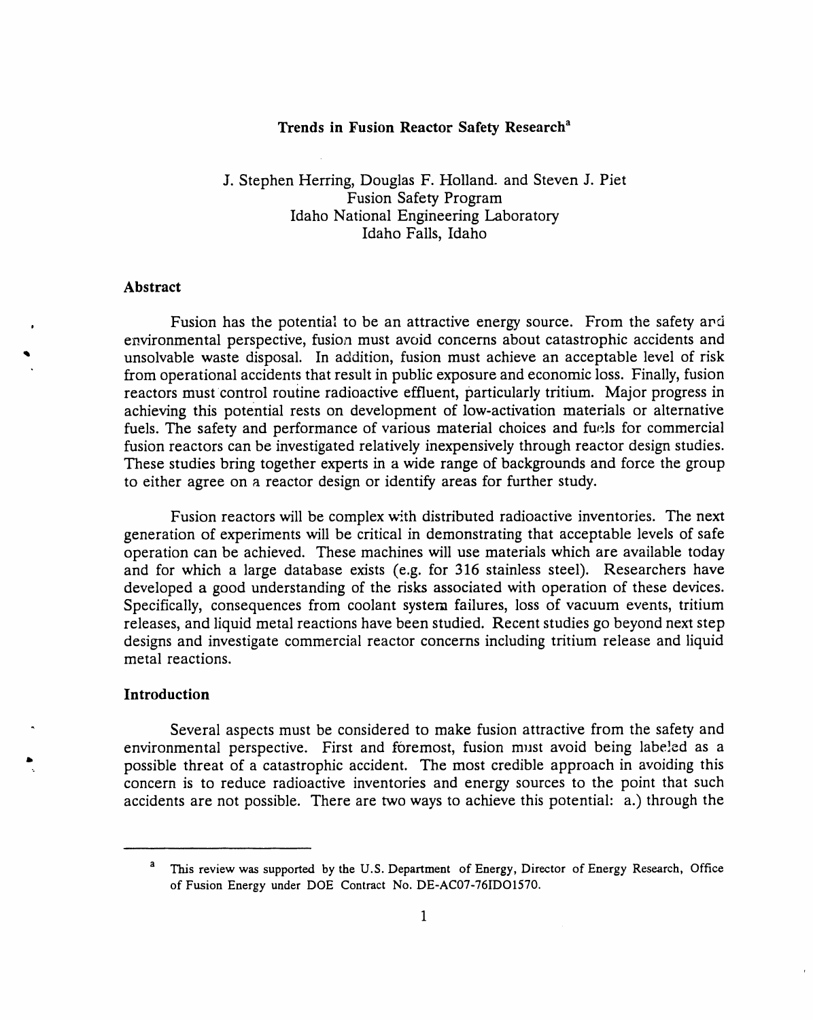### **Tr**e**nd**s **in Fu**s**ion Reactor** S**afet***y* **Research** a

J. Stephen Herring, Dougl**a**s F. Holl**a**nd. and Steven J. Piet Fusion Safety Program Idaho National Engineering Laboratory Idaho Falls, Idaho

### **Abstract**

. Fusion h**a**s the potenti**a**l to be **a**n **a**ttractive energy source. From the s**a**fety **a**r,**6** environmental perspective, fusion must avoid concerns about catastrophic accidents and ,b unsolvable w**a**ste disposal. In **a**ddition, fusion must achieve **a**n **a**ccept**a**ble level of risk from operational accidents that result in public exposure and economic loss. Finally, fusion reactors must control rouiine radioactive effluent, particularly tritium. Major progress in achieving this potential rests on development of low-activation materials or alternat*i*ve fuels. The safety and performance of various material choices and fuels for commercial fusion reactors can be investigated relatively inexpensively through reactor design studies. These studies bring together experts in a wide range of backgrounds and force the group to either agree on a reactor des*i*gn or identify areas for further study.

Fusion reactors will be complex with distributed radioactive inventories. The next generation of experiments will be critical in demonstrating that acceptable levels of safe operation can be achieved. These machines will use materials which are available today and for which a large database exists (e.g. for 316 stainless steel). Researchers have developed a good understanding of the risks associated with operation of these devices. Specifically, consequences from coolant system failures, loss of vacuum events, tritium releases, and liquid metal reactions have been studied. Recent studies go beyond next step designs and investigate commercial reactor concerns including tritium release and liquid metal reactions.

#### **Intr**o**duction**

b

*"* Sever**a**l aspects must be considered to m**a**ke fusion **a**ttractive from the safety and environmental perspective. First and foremost, fusion must avoid being labeled as a possible threat of a catastrophic accident. The most credible approach in avoiding this concern is to reduce radioactive inventories and energy sources to the point that such accidents are not possible. There are two ways to achieve this potential: a.) through the

a This review was s**u**pp**o**rted by the U.S. **D**epart**m**ent **o**f Ene**r**g**y**, **D**irect**o**r of E**n**ergy Research**,** Office of Fusion Energy under DOE Contract No. DE-AC07-76IDO1570.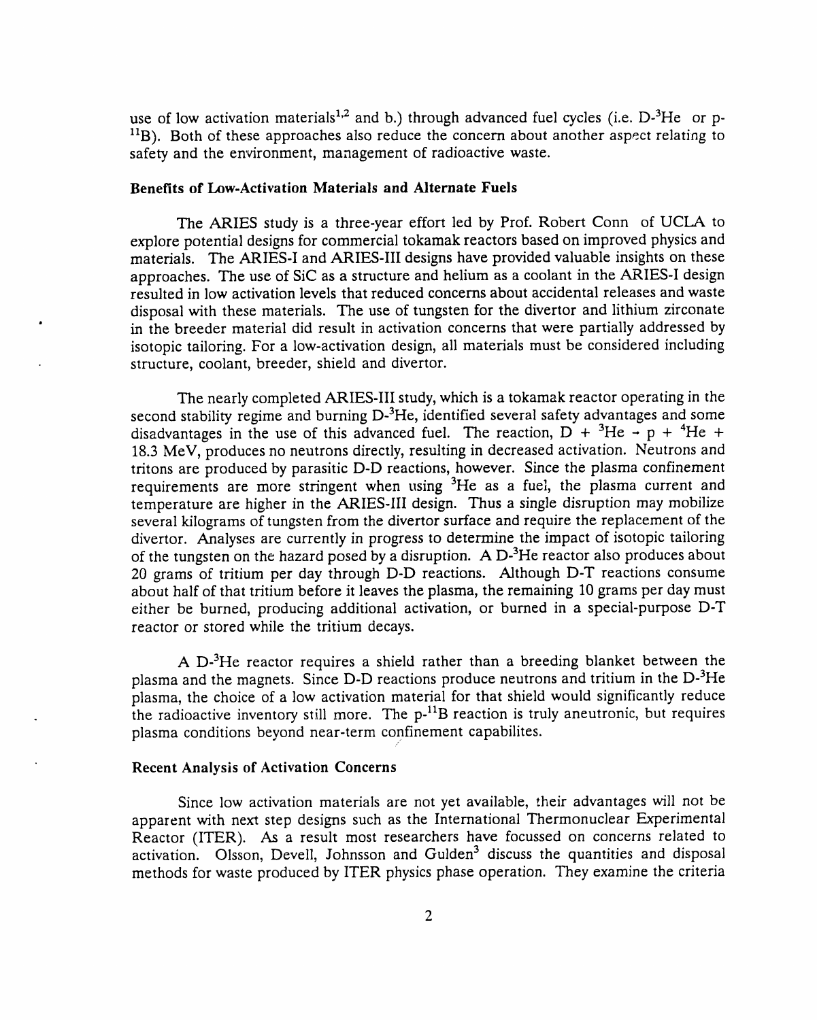use of low activation materials<sup>1,2</sup> and b.) through advanced fuel cycles (i.e.  $D^{-3}He$  or p- $11B$ ). Both of these approaches also reduce the concern about another aspect relating to safety and the environment*,* management of radioactive waste.

### **Benefit**s **of Low-Activ**a**tion Material**s **and Alternate Fuel**s

The ARIES s**t**udy is a three-**y**e**a**r effor**t** led by Prof**.** Robert Conn of UCLA to explore poten**t**ia**l** designs for commercia**l** tokamak **r**eac**t**o**r**s based on improved ph**y**sics and ma**t**erials. The AR**I**ES-**I** and AR**I**ES-**III** designs have p**r**ovided va**l**uab**l**e in**s**igh**t**s on **t**hese app**r**oaches. The use of SiC as a s**t**ruc**t**u**r**e and he**l**ium as a coo**l**an**t** in **t**he AR**I**ES-**I** design resulted in **l**ow ac**t**iva**t**ion leve**l**s **t**ha**t r**educed concerns abou**t** acciden**t**a**l r**e**l**eases and was**t**e disposa**l** wi**t**h **t**hese ma**t**eria**l**s. The use of tungsten for **t**he diver**t**or and lithium zircona**t**e **•** in **t**he breeder ma**t**erial did resul**t** in ac**t**iva**t**ion concerns **t**ha**t** we**r**e par**t**ia**lly** addressed b**y** iso**t**opic **t**ai**l**oring. For a **l**ow-activation design, al**l** ma**t**erials must be considered inc**l**uding s**t**ructure, coo**l**ant, breede**r**, shield and dive**rt**o**r.**

The near**ly** comp**l**eted ARIES-**III** stud**y**, which is a **t**okamak **r**eactor opera**t**ing in the second stability regime and burning D-<sup>3</sup>He, identified several safety advantages and some disadvantages in the use of this advanced fuel. The reaction,  $D + {}^{3}He \rightarrow p + {}^{4}He +$ 18.3 MeV*,* produces no neutrons directly*,* resulting in decreased activation. Neutrons and tritons are produced by parasitic D-D reactions*,* however. Since the plasma confinement requirements are more stringent when using 3He as a fuel*,* the plasma current and temperature are higher in the ARIES-III design. Thus a single disruption may mobilize several kilograms of tungsten from the divertor surface and require the replacement of the divertor. Analyses are currently in progress to determine the impact of isotopic tailoring of the tungsten on the hazard posed by a disruption. A  $D<sup>3</sup>$ He reactor also produces about 20 grams of tritium per day through D-D reactions. Although D-T reactions consume about half of that tritium before it leaves the plasma*,* the remaining 10 grams per day must either be burned*,* producing additional activation*,* or burned in a special-purpose D-T reactor or stored while the tritium decays.

A D-<sup>3</sup>He reactor requires a shield rather than a breeding blanket between the plasma and the magnets. Since D-D reactions produce neutrons and tritium in the D-3He plasma*,* the choice of a low activation material for that shield would significantly reduce the radioactive inventory s**t**ill more. The p-liB reaction is truly aneutronic*,* but requires plasma conditions beyond near-term confinement capabilites.

*/*"

### **Recen**t **Analysis of Activati**o**n Concerns**

**Sin**c**e l**ow **activation ma**te**rials ar**e **not yet availa**b**le,** *:*h**eir advan**t**a**g**es** wi**ll n**o**t** be apparent with next step designs such as the International Thermonuclear Experimental Reactor (ITER). As a result most researchers have focussed on concerns related to activation. Olsson, Devell, Johnsson and Gulden<sup>3</sup> discuss the quantities and disposal methods for waste produced by ITER physics phase operation. They examine the criteria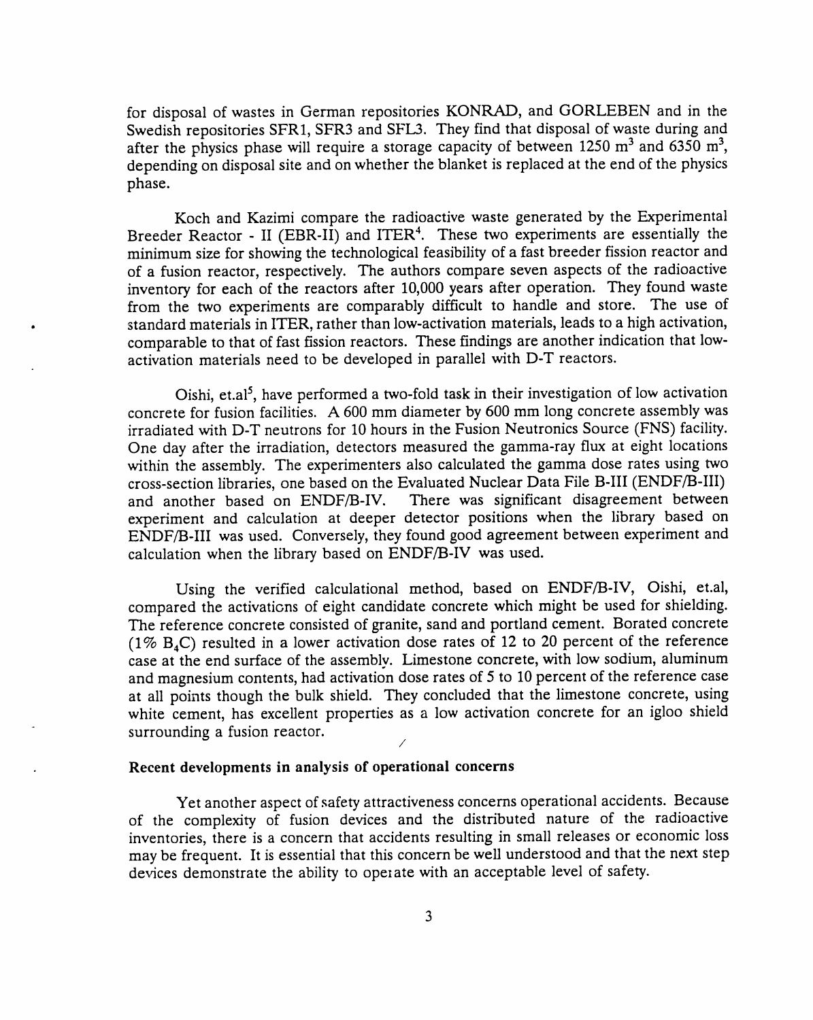for disposal of wastes in German repositories KONRAD, and GORLEBEN and in the Swedish repositories SFR1, SFR3 and SFL3. They find that disposal of waste during and after the physics phase will require a storage capacity of between 1250  $m^3$  and 6350  $m^3$ , depending on disposal site and on whether the blanket is replaced at the end of the physics phase.

Koch and Kazimi compare the radioactive waste generated by the Experimental Breeder Reactor - II (EBR-II) and ITER<sup>4</sup>. These two experiments are essentially the minimum size for showing the technological feasibility of a fast breeder fission reactor and of a fusion reactor, respectively. The authors compare seven aspects of the radioactive inventory for each of the reactors after 10,000 years after operation. They found waste from the two experiments are comparably difficult to handle and store. The use of • standard materials in ITER, rather than low-activation materials, leads to a high activation, comparable to that of fast fission reactors. These findings are another indication that lowactivation materials need to be developed in parallel with D-T reactors.

Oishi, et.al<sup>5</sup>, have performed a two-fold task in their investigation of low activation concrete for fusion facilities. A 600 mm diameter by 600 mm long concrete assembly was irradiated with D-T neutrons for 10 hours in the Fusion Neutronics Source (FNS) facility. One day after the irradiation, detectors measured the gamma-ray flux at eight locations within the assembly. The experimenters also calculated the gamma dose rates using two cross-section libraries, one based on the Evaluated Nuclear Data File B-III (ENDF*/*B-III) and another based on ENDF/B-IV. There was significant disagreement between experiment and calculation at deeper detector positions when the library based on ENDF/B-III was used. Conversely, they found good agreement between experiment and calculation when the library based on ENDF/B-IV was used.

Using the verified calculational method, based on ENDF/B-IV, Oishi, ct.al, compared the activations of eight candidate concrete which might be used for shielding. The reference concrete consisted of granite, sand and portland cement. Borated concrete (1%  $B_4C$ ) resulted in a lower activation dose rates of 12 to 20 percent of the reference case at the end surface of the assembly. Limestone concrete, with low sodium, aluminum and magnesium contents, had activation dose rates of 5 to 10 percent of the reference case at all points though the bulk shield. They concluded that the limestone concrete, using white cement, has excellent properties as a low activation concrete for an igloo shield surrounding a fusion reactor.

# **Rec**e**nt dev**e**lopment**s **in analy**s**i**s **of op**e**rational concern**s

Yet **a**nother **a**spect of s**a**fety **a**ttr**a**ctiveness concern**s** operational accidents. Because of the complexity of fusion devices and the distributed nature of the radioactive inventories*,* there is a concern that accidents resulting in small releases or economic loss may be frequent. It is essential that this concern be well understood and that the next step devices demonstrate the ability to operate with an acceptable level of safety.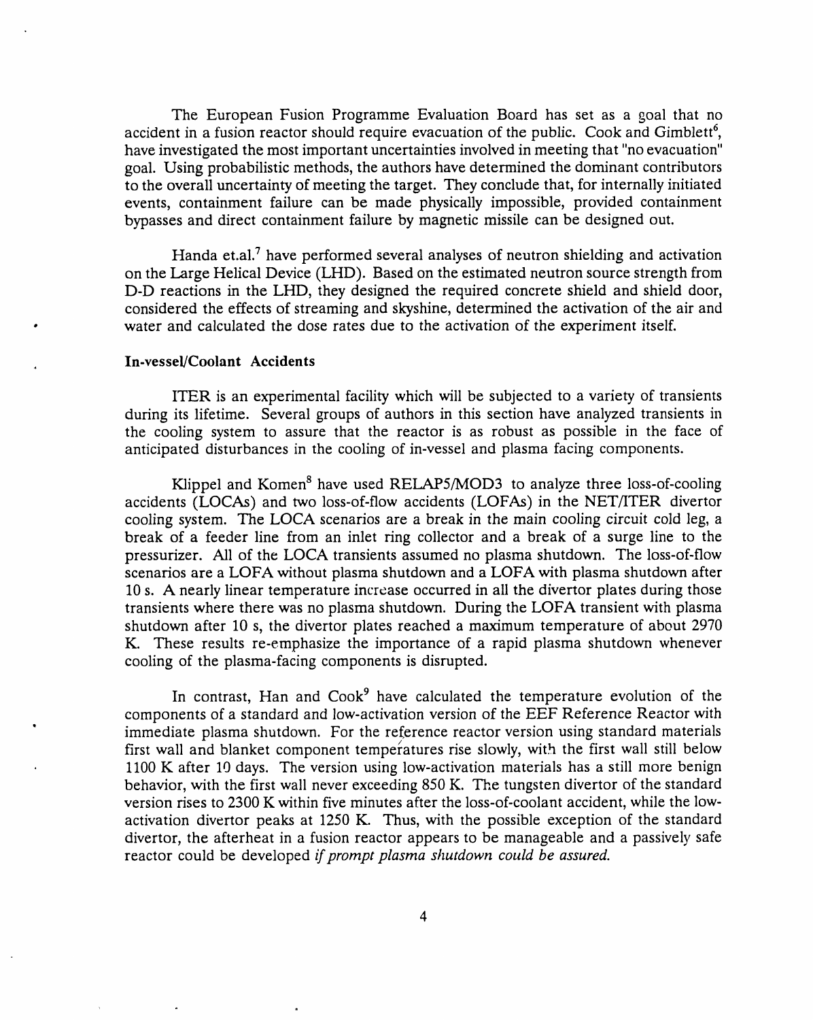The European Fusion Programme Evaluation Board has set as a goal that no accident in a fusion reactor should require evacuation of the public. Cook and Gimblett<sup>6</sup>, have investigated the most important uncertainties involved in meeting that "no evacuation" goal. Using probabilistic methods*,* the authors have determined the dominant contributors to the overall uncertainty of meeting the target. They conclude that*,* for internally initiated events*,* containment failure can be made physically impossible*,* provided containment bypasses and direct containment failure by magnetic missile can be designed out.

Handa et.al.<sup>7</sup> have performed several analyses of neutron shielding and activation on the Large Helical Device (LHD). Based on the estimated neutron source strength from D-D reactions in the LHD*,* they designed the required concrete shield and shield door*,* considered the effects of streaming and skyshine*,* determined the activation of the air and water and calculated the dose rates due to the activation of the experiment itself.

### , **In-ve**ss**el***/*C**oolant Accident**s

ITER is an experimental facility which will be subjected to **a** variety of tr**a**nsients during its lifetime. Several groups of authors in this section have analyzed transients in the cooling system to assure that the reactor is as robust as possible in the face of anticipated disturbances in the cooling of in-vessel and plasma facing components.

Klippel and Komen<sup>8</sup> have used RELAP5/MOD3 to analyze three loss-of-cooling accidents (LOCAs) and two loss-of-flow accidents (LOFAs) in the NET*/*ITER divertor cooling system. The LOCA scenarios are a break in the main cooling circuit cold leg, a break of a feeder line from an inlet ring collector and a break of a surge line to the pressurizer. Ali of the LOCA transients assumed no plasma shutdown. The loss-of-flow scenarios are a LOFA without plasma shutdown and a LOFA with plasma shutdown after 10 s. A nearly linear temperature increase occurred in ali the divertor plates during those transients where there was no plasma shutdown. During the LOFA transient with plasma shutdown after 10 s, the divertor plates reached a ma*x*imum temperature of about 2970 K. These results re-emphasize the importance of a rapid plasma shutdown whenever cooling of the plasma-facing components is disrupted.

In contrast, Han and  $Cook<sup>9</sup>$  have calculated the temperature evolution of the components of a standard and low-activation version of the EEF Reference Reactor with immediate plasma shutdown. For the reference reactor version using standard materials first wall and blanket component temperatures rise slowly, with the first wall still below 1100 K after 10 days. The version using low-activation materials has a still more benign behavior, with the first wall never exceeding 850 *K*. The tungsten divertor of the standard version rises to 2300 K within five minutes after the loss-of-coolant accident, while the lowactivation divertor peaks at 1250 K. Thus, with the possible exception of the standard divertor*,* the afterheat in a fusion reactor appears to be manageable and a passively safe reactor could be developed *if prompt plasma shutdown could be assured*.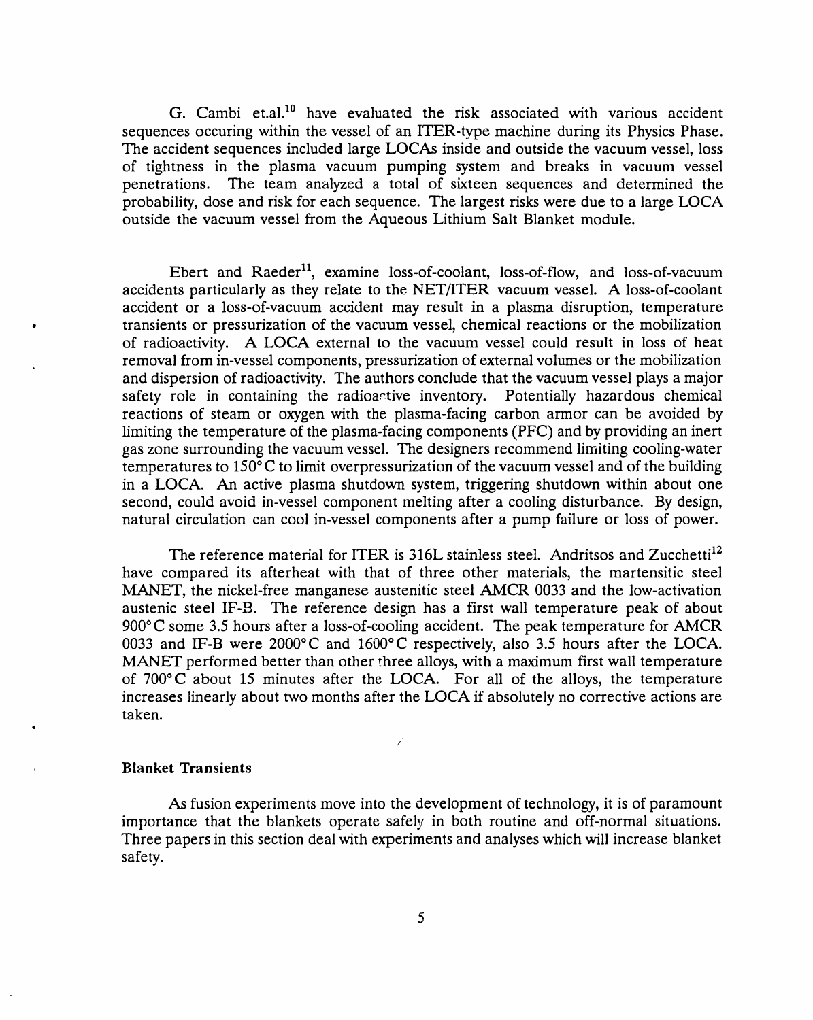G. Cambi et.al.<sup>10</sup> have evaluated the risk associated with various accident sequences occuring within the vessel of an ITER**-**type machine during its Physics Phase. The accident sequences included large LOCAs inside and outside the vacuum vessel, loss of tightness in the plasma vacuum pumping system and breaks in vacuum vessel<br>penetrations. The team analyzed a total of sixteen sequences and determined the The team analyzed a total of sixteen sequences and determined the probability, dose and risk for each sequence. The largest risks were due to a large LOCA outside the vacuum vessel from the Aqueous Lithium Salt Blanket module.

Ebert and Raeder<sup>11</sup>, examine loss-of-coolant, loss-of-flow, and loss-of-vacuum acciden**t**s par**t**icu**l**a**rly** a**s t**he**y rel**a**te t**o **t**he NET*/***I**TER vacuum vesse**l**. A **l**oss-of-coo**l**an**t** accident or a **l**oss-of-vacuum accident ma**y** resu**lt** in a p**l**asma disrup**t**ion, **t**empe**r**a**t**u**r**e **• t**ransien**t**s or p**r**essuriza**t**ion of **t**he vacuum vess**el**, chemica**l** reac**t**ions or **t**he mobi**l**iza**t**ion of radioactivi**ty**. A LOCA ex**t**e**r**na**l t**o **t**he vacuum vessel cou**l**d **r**esul**t** in **l**oss of hea**t r**emova**l** f**r**om in-vesse**l** componen**t**s, pressuriza**t**ion of ex**t**erna**l** vo**l**umes or the mobiliza**t**ion and dispersion of radioac**t**ivit**y**. The au**t**hors conc**l**ude **t**ha**t t**he vacuum vesse**l** pla**y**s a majo**r** safet**y r**ole in containing **t**he **r**adioac**t**ive inventor**y.** Po**t**en**t**ia**l**l**y** hazardous chemica**l r**eac**t**ions of s**t**eam or ox**y**gen with **t**he plasma-facing carbon a**r**mor can be avoided b**y li**miting **t**he **t**empera**t**ure of **t**he p**l**asma-facing componen**t**s (PFC) and b**y** providing an iner**t** gas zone sur**r**ounding **t**he vacuum vessel. The designe**r**s recommend **l**imi**t**ing coo**l**ing-wa**t**er **t**empera**t**ures **t**o 150°C to **l**imit overp**r**essurization of **t**he vacuum vesse**l** and of **t**he bui**l**ding in a LOCA**.** An ac**t**ive p**l**asma shu**t**down s**y**s**t**em, **t**riggering shu**t**down wi**t**hin about one second, could avoid in-vesse**l** componen**t** me**lt**ing af**t**e**r** a coo**l**ing dis**t**urbance. B**y** design, natura**l** circula**t**ion can coo**l** in-vesse**l** componen**t**s af**t**e**r** a pump fai**l**ure or **l**oss of power.

The reference materia**l** for ITER is 316L s**t**ain**l**ess s**t**ee**l**. Andri**t**sos and Zucchetti 12 have compared its af**t**e**r**hea**t** with **t**ha**t** of **t**hree o**t**her ma**t**eria**l**s**, t**he ma**rt**ensi**t**ic s**t**ee**l** MANET, **t**he nicke**l**-free manganese aus**t**enitic s**t**ee**l** *A*MCR 0033 and **t**he **l**ow-ac**t**ivation aus**t**enic s**t**ee**l** IF-B. The **r**efe**r**ence design has a fi**r**s**t** wa**ll t**empe**r**atu**r**e peak of about 900°C some 3.5 hou**r**s af**t**e**r** a loss-of-cooling acciden**t.** The peak **t**empera**t**u**r**e for *A*MCR 0033 and **I**F-B wer**e** 2000°C and 1600°C **r**espec**t**ive**ly**, a**l**so 3.5 hou**r**s after the LOCA. MANET performed better **t**han othe**r** th**r**ee a**l**lo**y**s, with a maximum fi**r**s**t** wal**l** tempe**r**ature of **7**00°C abou**t** 15 minu**t**es after **t**he LOCA**.** For a**ll** of **t**he a**l**lo**y**s, the **t**empe**r**a**t**ure inc**r**eases linear**ly** about **t**wo mon**t**hs af**t**er **t**he LOCA if abso**l**u**t**e**ly** no cor**r**ec**t**ive ac**t**ions a**r**e **t**aken**.**

# , **Bl**a**n**k**et** T**r**a**nsi**e**nts**

As fusion experiments move into the developmen**t** of technology, it is of paramount importance that the blankets operate safely in both routine and off**-**normal situations. Three papers in this section deal with experiments and analyses which will increase blanket safety.

*/*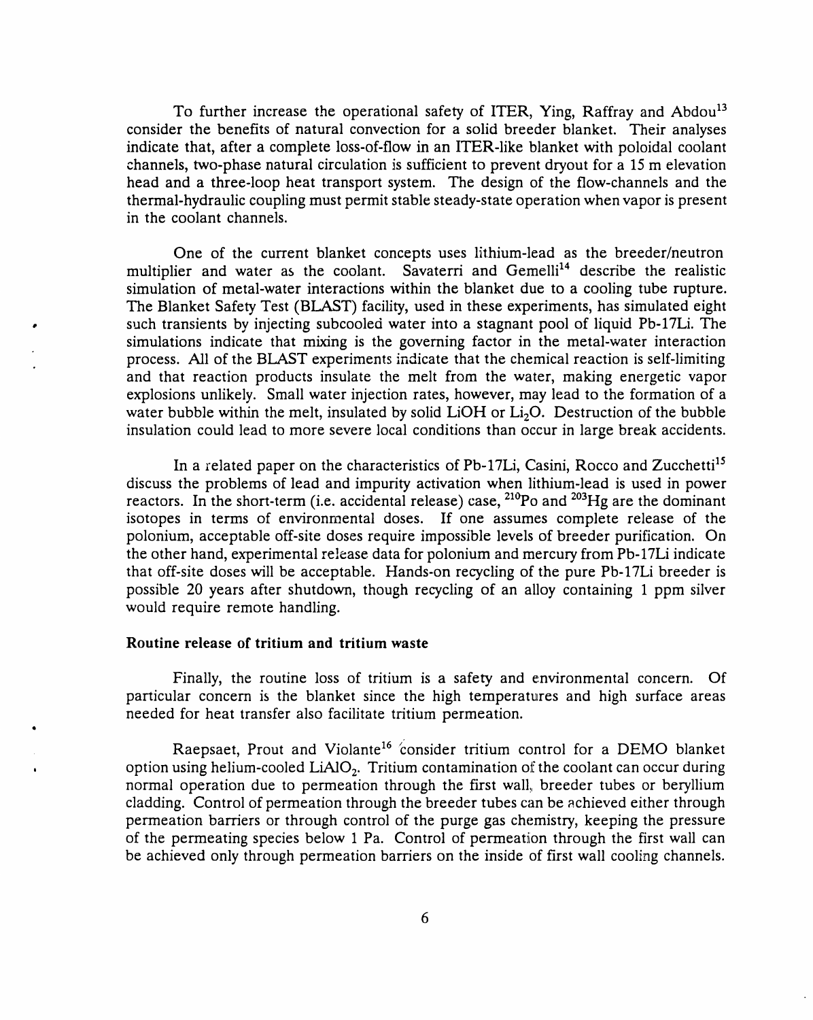To further increase the operational safety of ITER, Ying, Raffray and Abdou<sup>13</sup> consider the benefits of natural convection for a solid breeder blanket. Their analyses indicate that, after a complete loss-of-flow in an ITER-like blanket with poloidal coolant channels, two-phase natural circulation is sufficient to prevent dryout for a 15 m elevation head and a three-loop heat transport system. The design of the flow-channels and the thermal-hydraulic coupling must permit stable steady-state operation when vapor is present in the coolant channels.

One of the current blanket concepts uses lithium-lead as the breeder*/*neutron multiplier and water as the coolant. Savaterri and Gemelli<sup>14</sup> describe the realistic simulation of metal-water interactions within the blanket due to a cooling tube rupture. The Blanket Safety Test (BL*A*ST) facility, used in these experiments, has simulated eight • such transients by injecting subcooled water into a stagnant pool of liquid Pb-17Li. The simulations indicate that mixing is the governing factor in the metal-water interaction process. All of the BLAST experiments indicate that the chemical reaction is self-limiting and that reaction products insulate the melt from the water*,* making energetic vapor explosions unlikely. Small water injection rates*,* however*,* may lead to the formation of a water bubble within the melt, insulated by solid LiOH or Li<sub>2</sub>O. Destruction of the bubble insulation could lead to more severe local conditions than occur in large break accidents.

In a related paper on the characteristics of Pb-17Li, Casini, Rocco and Zucchetti<sup>15</sup> discuss the problems of lead and impurity activation when lithium-lead is used in power reactors. In the short-term (i.e. accidental release) case, <sup>210</sup>Po and <sup>203</sup>Hg are the dominant isotopes in terms of environmental doses. If one assumes complete release of the polonium, acceptable off-site doses require impossible levels of breeder purification. On the other hand, experimental release data for polonium and mercury from Pb-17Li indicate that off-site doses will be acceptable. Hands-on recycling of the pure Pb-17Li breeder is possible 20 years after shutdown, though recycling of an alloy containing 1 ppm silver would require remote handling.

### Routine release of tritium and tritium waste

Finally, the routine loss of tritium is a safety and environmental concern. Of particular concern is the blanket since the high temperatures and high surface areas needed for heat transfer also facilitate tritium permeation.

Raepsaet, Prout and Violante<sup>16</sup> consider tritium control for a DEMO blanke option using helium-cooled  $LiAlO<sub>2</sub>$ . Tritium contamination of the coolant can occur during normal operation due to permeation through the first wall, breeder tubes or beryllium cladding. Control of permeation through the breeder tubes can be achieved either through permeation barriers or through control of the purge gas chemistry, keeping the pressure of the permeating species below 1 Pa. Control of permeation through the first wall can be achieved only through permeation barriers on the inside of first wall cool*i*ng channels.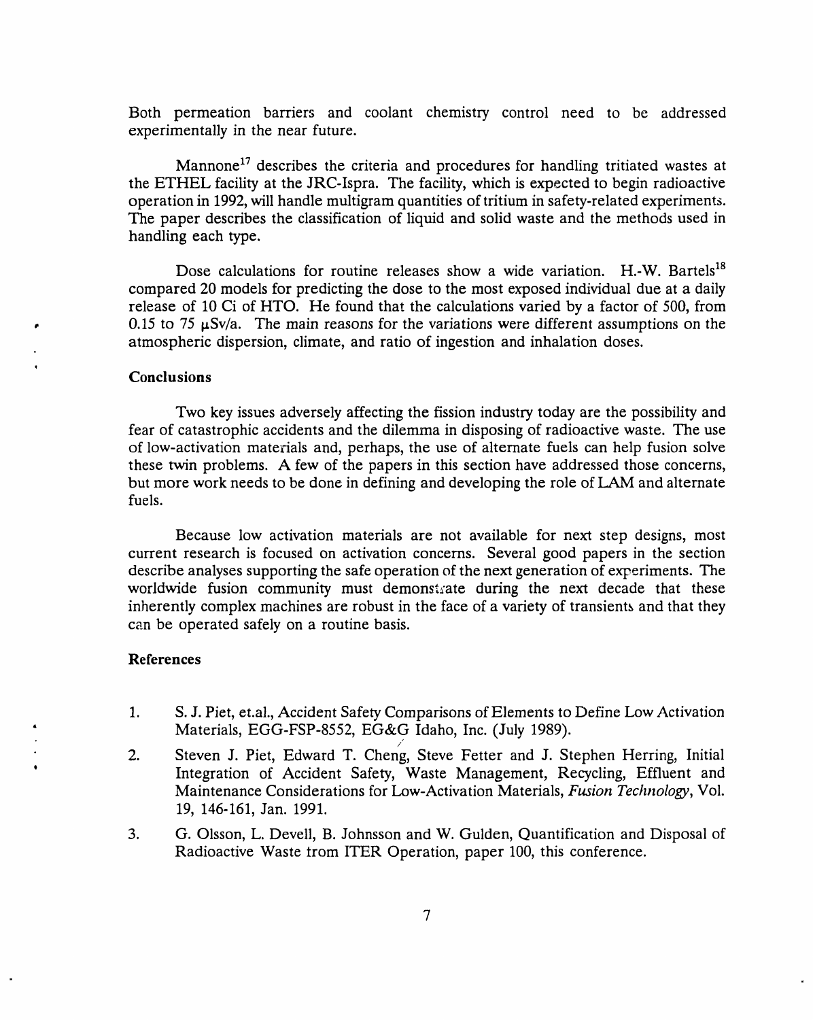Both permeation barriers and coolant chemistry control need to be addressed experimentally in the near future.

Mannone<sup>17</sup> describes the criteria and procedures for handling tritiated wastes at the ETHEL facility at the JRC-Ispra. The facility, which is expected to begin radioactive operation in 1992, will handle multigram quantities of tritium in safety-related experiment*s*. The paper describes the classification of liquid and solid waste and the methods used in handling each type.

Dose calculations for routine releases show a wide variation. H.-W. Bartels<sup>18</sup> compared 20 models for predicting the dose to the most exposed individual due at a daily release of 10 Ci of HTO. He found that the calculations varied by a factor of 500, from 0.15 to 75  $\mu$ Sv/a. The main reasons for the variations were different assumptions on the atmospheric dispersion, climate, and ratio of ingestion and inhalation doses.

### *C*onclusions

q

Two key issues adversely affecting the fission in**d**ustry today are the possibility and fear of catastrophic accidents and the dilemma in disposing of radioactive waste. The use of low-activation materials and, perhaps, the use of alternate fuels can help fusion solve these twin problems. A few of the papers in this section have addressed those concerns, but more work needs to be done in defining and developing the role of LAM and alternate fuels.

Because low activation materials are not available for next step designs, most current research is focused on activation concerns. Several good papers in the section describe analyses supporting the safe operation of the next generation of experiments. The worldwide fusion community must demonstrate during the next decade that these inherently complex machines are robust in the face of a variety of transients and that they can be operated safely on a routine basis.

#### References

- 1. S.J. Piet, et.al., *A*ccident Safety Comparisons of Elements t**o** Define Low *A*ctivation *Materials, EGG-FSP-8552, EG&G Idaho, Inc. (July 1989).*<br>2. *Steven J. Piet. Edward T. Cheng. Steve Fetter and J. St. (July 1989)*
- Steven J. Piet, Edward T. Cheng, Steve Fetter and J. Stephen Herring, Initial Integration of Accident Safety, Waste Management, Recycling, Effluent and Maintenance Considerations for Low-*A*ctivation Materials, *Fusion Technolog*y, Vol. 19, 146-161, Jan. 1991.
- 3. G. Olsson, L. Devell, B. Johnsson and W. Gulden, Quantification and Disposal of Radioactive Waste trom ITER Operation, paper 100, this conference.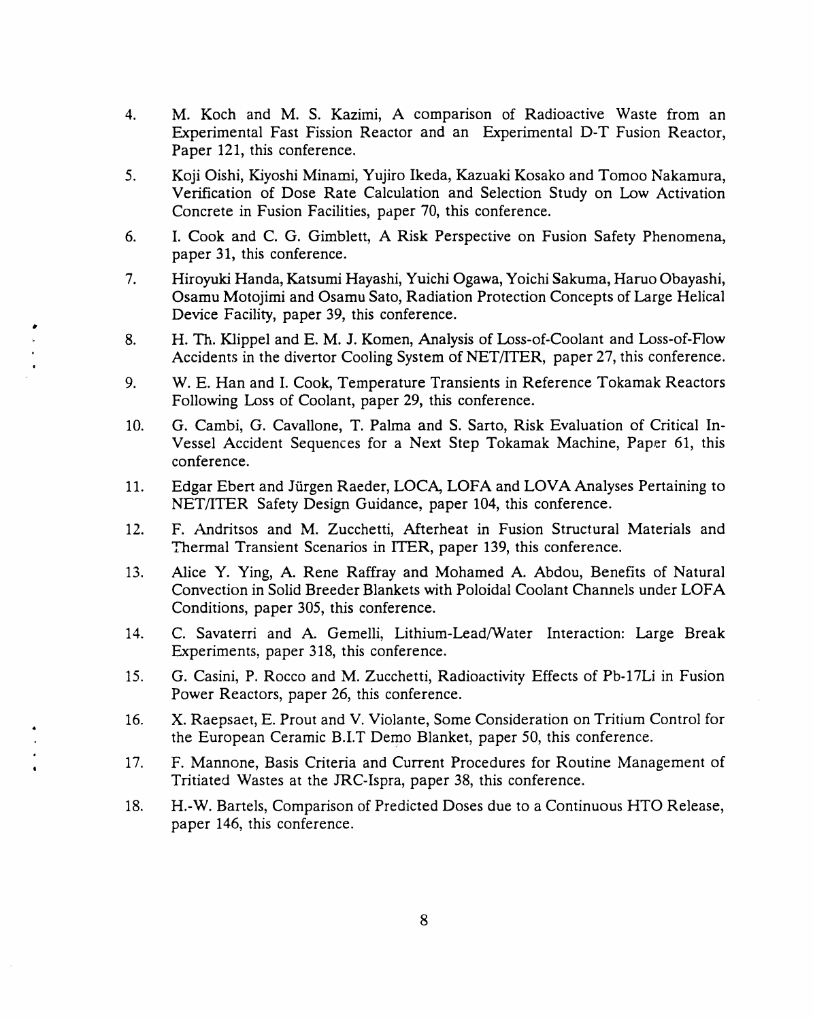- 4. M. Koch and M. S. Kazimi, A comparison of Radioactive Waste from an Experimental Fast Fission Reactor and an Experimental D-T Fusion Reactor, Paper 121, this conference.
- 5. Koji Oishi*,* Kiyoshi Minami, Yujiro Ikeda, Kazuaki Kosako and Tomoo Nakamura, Verification of Dose Rate Calculation and Selection Study on Low Activation Concrete in Fusion Facilities, paper 70, this conference.
- 6. I. Cook and C. G. Gimblett, A Risk Perspective on Fusion Safety Phenomena, paper 31, **t**his conference.
- 7. Hiroyuki Handa, Katsumi Hayashi, Yuichi Ogawa, Yoichi Sakuma, Haruo Obayashi, Osamu Motojimi and Osamu Sato, Radiation Protection Concepts of Large Helical Device Facility, paper 39, this conference.
- 8. H. Th. Klippel and E. M. J. Komen, Analysis of Loss-of-Coolant and Loss-of-Flow Accidents in the divertor Cooling System of NET*/*ITER, paper 27, this conference. **<sup>i</sup>**

lt*,*

I

- 9. W.E. Han and I. Cook, Temperature Transients in Reference Tokamak Reactors Following Loss of Coolant, paper 29, this conference.
- 10. G. Cambi, G. Cavallone, T. Palma and S. Sarto, Risk Evaluation of Critical In-Vessel *A*ccident Sequences for a Next Step Tokamak Machine, Paper 61, this c**o**nference.
- 11. Edgar Ebert and Jfirgen Raeder, LO*C*A, LOFA and LOV*A A*nalyses Pertaining to NET*/*ITER Safety Design Guidance, paper 104, this conference.
- 12. F. Andritsos and M. Zucchetti, *A*fterheat in Fusion Structural Materials and Thermal Transient Scenarios in ITER, paper 139, this conference.
- 13. Alice Y. Ying, *A*. Rene Raffray and Mohamed *A*. *A*bdou, Benefits of Natural Convection in Solid Breeder Blankets with Poloidal Coolant Channels under LOFA Conditions, paper 305, this conference.
- 14. C. Savaterri and *A*. Gemelli, Lithium-Lead*/*Water Interaction: Large Break Experiments, paper 318, this conference.
- 15. G. Casini, P. Rocco and M. Zucchetti, Radioactivity Effects of Pb-17Li in Fusion Power Reactors, paper 26, this conference.
- 16. X. Raepsaet, E. Prout and V. Violante, Some Consideration on Tritium Control for the European Ceramic B.I.T Demo Blanket, paper 50, this conference.
- 17. F. Mannone, Basis Criteria and Current Procedures for Routine Management of Tritiated Wastes at the JRC-Ispra, paper 38, this conference.
- 18. H.-W. Bartels, Comparison of Predicted Doses due to a Continuous HTO Release, paper 146, this conference.